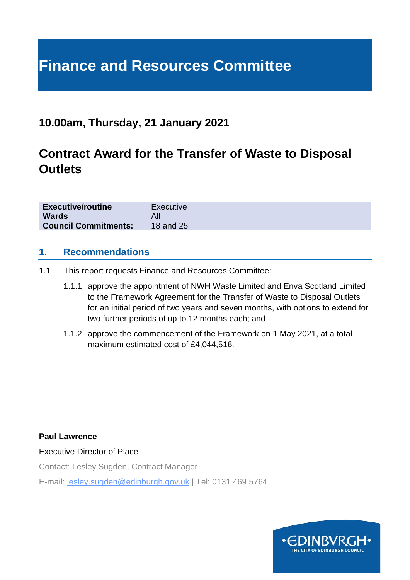# **Finance and Resources Committee**

## **10.00am, Thursday, 21 January 2021**

# **Contract Award for the Transfer of Waste to Disposal Outlets**

| <b>Executive/routine</b>    | Executive |
|-----------------------------|-----------|
| <b>Wards</b>                |           |
| <b>Council Commitments:</b> | 18 and 25 |

#### **1. Recommendations**

- 1.1 This report requests Finance and Resources Committee:
	- 1.1.1 approve the appointment of NWH Waste Limited and Enva Scotland Limited to the Framework Agreement for the Transfer of Waste to Disposal Outlets for an initial period of two years and seven months, with options to extend for two further periods of up to 12 months each; and
	- 1.1.2 approve the commencement of the Framework on 1 May 2021, at a total maximum estimated cost of £4,044,516.

**Paul Lawrence**

Executive Director of Place

Contact: Lesley Sugden, Contract Manager

E-mail: lesley.sugden@edinburgh.gov.uk | Tel: 0131 469 5764

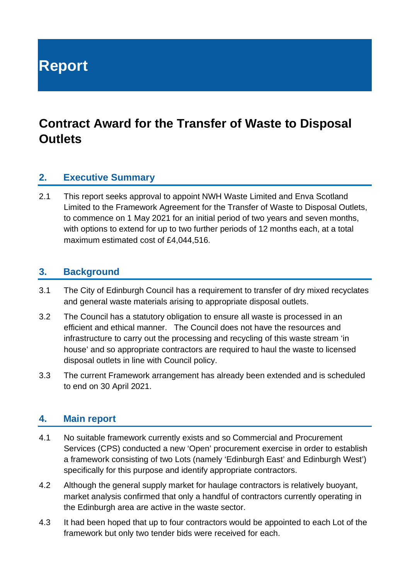**Report**

# **Contract Award for the Transfer of Waste to Disposal Outlets**

#### **2. Executive Summary**

2.1 This report seeks approval to appoint NWH Waste Limited and Enva Scotland Limited to the Framework Agreement for the Transfer of Waste to Disposal Outlets, to commence on 1 May 2021 for an initial period of two years and seven months, with options to extend for up to two further periods of 12 months each, at a total maximum estimated cost of £4,044,516.

#### **3. Background**

- 3.1 The City of Edinburgh Council has a requirement to transfer of dry mixed recyclates and general waste materials arising to appropriate disposal outlets.
- 3.2 The Council has a statutory obligation to ensure all waste is processed in an efficient and ethical manner. The Council does not have the resources and infrastructure to carry out the processing and recycling of this waste stream 'in house' and so appropriate contractors are required to haul the waste to licensed disposal outlets in line with Council policy.
- 3.3 The current Framework arrangement has already been extended and is scheduled to end on 30 April 2021.

#### **4. Main report**

- 4.1 No suitable framework currently exists and so Commercial and Procurement Services (CPS) conducted a new 'Open' procurement exercise in order to establish a framework consisting of two Lots (namely 'Edinburgh East' and Edinburgh West') specifically for this purpose and identify appropriate contractors.
- 4.2 Although the general supply market for haulage contractors is relatively buoyant, market analysis confirmed that only a handful of contractors currently operating in the Edinburgh area are active in the waste sector.
- 4.3 It had been hoped that up to four contractors would be appointed to each Lot of the framework but only two tender bids were received for each.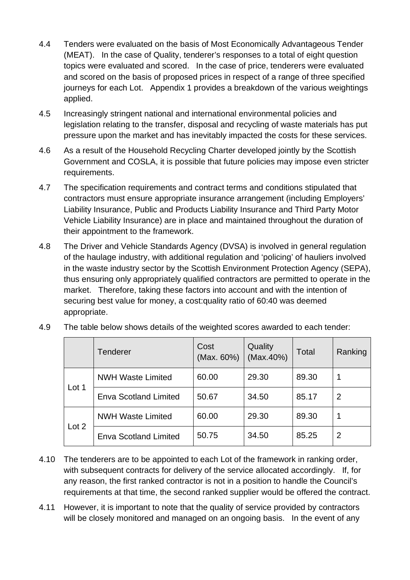- 4.4 Tenders were evaluated on the basis of Most Economically Advantageous Tender (MEAT). In the case of Quality, tenderer's responses to a total of eight question topics were evaluated and scored. In the case of price, tenderers were evaluated and scored on the basis of proposed prices in respect of a range of three specified journeys for each Lot. Appendix 1 provides a breakdown of the various weightings applied.
- 4.5 Increasingly stringent national and international environmental policies and legislation relating to the transfer, disposal and recycling of waste materials has put pressure upon the market and has inevitably impacted the costs for these services.
- 4.6 As a result of the Household Recycling Charter developed jointly by the Scottish Government and COSLA, it is possible that future policies may impose even stricter requirements.
- 4.7 The specification requirements and contract terms and conditions stipulated that contractors must ensure appropriate insurance arrangement (including Employers' Liability Insurance, Public and Products Liability Insurance and Third Party Motor Vehicle Liability Insurance) are in place and maintained throughout the duration of their appointment to the framework.
- 4.8 The Driver and Vehicle Standards Agency (DVSA) is involved in general regulation of the haulage industry, with additional regulation and 'policing' of hauliers involved in the waste industry sector by the Scottish Environment Protection Agency (SEPA), thus ensuring only appropriately qualified contractors are permitted to operate in the market. Therefore, taking these factors into account and with the intention of securing best value for money, a cost:quality ratio of 60:40 was deemed appropriate.

|       | <b>Tenderer</b>              | Cost<br>(Max. 60%) | Quality<br>(Max.40%) | Total | Ranking |
|-------|------------------------------|--------------------|----------------------|-------|---------|
| Lot 1 | <b>NWH Waste Limited</b>     | 60.00              | 29.30                | 89.30 |         |
|       | Enva Scotland Limited        | 50.67              | 34.50                | 85.17 | 2       |
| Lot 2 | <b>NWH Waste Limited</b>     | 60.00              | 29.30                | 89.30 |         |
|       | <b>Enva Scotland Limited</b> | 50.75              | 34.50                | 85.25 | 2       |

4.9 The table below shows details of the weighted scores awarded to each tender:

- 4.10 The tenderers are to be appointed to each Lot of the framework in ranking order, with subsequent contracts for delivery of the service allocated accordingly. If, for any reason, the first ranked contractor is not in a position to handle the Council's requirements at that time, the second ranked supplier would be offered the contract.
- 4.11 However, it is important to note that the quality of service provided by contractors will be closely monitored and managed on an ongoing basis. In the event of any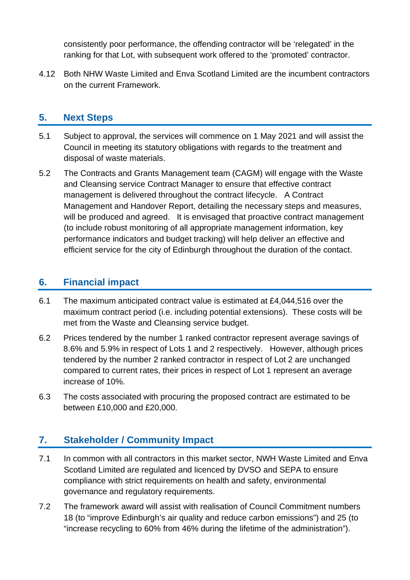consistently poor performance, the offending contractor will be 'relegated' in the ranking for that Lot, with subsequent work offered to the 'promoted' contractor.

4.12 Both NHW Waste Limited and Enva Scotland Limited are the incumbent contractors on the current Framework.

#### **5. Next Steps**

- 5.1 Subject to approval, the services will commence on 1 May 2021 and will assist the Council in meeting its statutory obligations with regards to the treatment and disposal of waste materials.
- 5.2 The Contracts and Grants Management team (CAGM) will engage with the Waste and Cleansing service Contract Manager to ensure that effective contract management is delivered throughout the contract lifecycle. A Contract Management and Handover Report, detailing the necessary steps and measures, will be produced and agreed. It is envisaged that proactive contract management (to include robust monitoring of all appropriate management information, key performance indicators and budget tracking) will help deliver an effective and efficient service for the city of Edinburgh throughout the duration of the contact.

#### **6. Financial impact**

- 6.1 The maximum anticipated contract value is estimated at £4,044,516 over the maximum contract period (i.e. including potential extensions). These costs will be met from the Waste and Cleansing service budget.
- 6.2 Prices tendered by the number 1 ranked contractor represent average savings of 8.6% and 5.9% in respect of Lots 1 and 2 respectively. However, although prices tendered by the number 2 ranked contractor in respect of Lot 2 are unchanged compared to current rates, their prices in respect of Lot 1 represent an average increase of 10%.
- 6.3 The costs associated with procuring the proposed contract are estimated to be between £10,000 and £20,000.

### **7. Stakeholder / Community Impact**

- 7.1 In common with all contractors in this market sector, NWH Waste Limited and Enva Scotland Limited are regulated and licenced by DVSO and SEPA to ensure compliance with strict requirements on health and safety, environmental governance and regulatory requirements.
- 7.2 The framework award will assist with realisation of Council Commitment numbers 18 (to "improve Edinburgh's air quality and reduce carbon emissions") and 25 (to "increase recycling to 60% from 46% during the lifetime of the administration").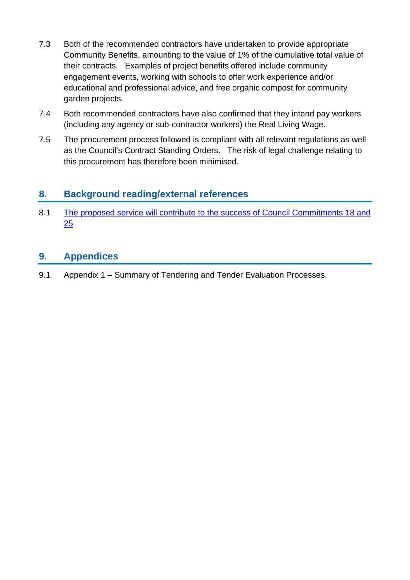- 7.3 Both of the recommended contractors have undertaken to provide appropriate Community Benefits, amounting to the value of 1% of the cumulative total value of their contracts. Examples of project benefits offered include community engagement events, working with schools to offer work experience and/or educational and professional advice, and free organic compost for community garden projects.
- 7.4 Both recommended contractors have also confirmed that they intend pay workers (including any agency or sub-contractor workers) the Real Living Wage.
- 7.5 The procurement process followed is compliant with all relevant regulations as well as the Council's Contract Standing Orders. The risk of legal challenge relating to this procurement has therefore been minimised.

#### **8. Background reading/external references**

8.1 [The proposed service will contribute to the success of Council Commitments 18 and](https://www.edinburgh.gov.uk/council-commitments/delivering-sustainable-future) [25](https://www.edinburgh.gov.uk/council-commitments/delivering-sustainable-future)

#### **9. Appendices**

9.1 Appendix 1 – Summary of Tendering and Tender Evaluation Processes.